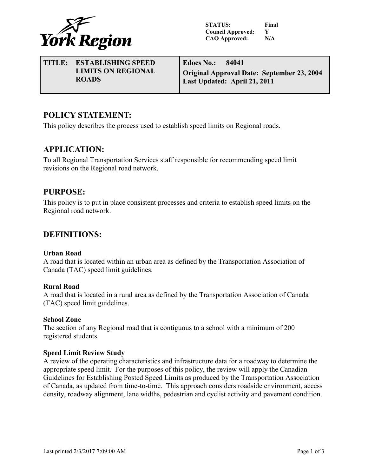

**STATUS: Final Council Approved: Y CAO Approved: N/A**

**TITLE: ESTABLISHING SPEED LIMITS ON REGIONAL ROADS Edocs No.: 84041 Original Approval Date: September 23, 2004 Last Updated: April 21, 2011**

# **POLICY STATEMENT:**

This policy describes the process used to establish speed limits on Regional roads.

## **APPLICATION:**

To all Regional Transportation Services staff responsible for recommending speed limit revisions on the Regional road network.

## **PURPOSE:**

This policy is to put in place consistent processes and criteria to establish speed limits on the Regional road network.

## **DEFINITIONS:**

### **Urban Road**

A road that is located within an urban area as defined by the Transportation Association of Canada (TAC) speed limit guidelines.

### **Rural Road**

A road that is located in a rural area as defined by the Transportation Association of Canada (TAC) speed limit guidelines.

#### **School Zone**

The section of any Regional road that is contiguous to a school with a minimum of 200 registered students.

### **Speed Limit Review Study**

A review of the operating characteristics and infrastructure data for a roadway to determine the appropriate speed limit. For the purposes of this policy, the review will apply the Canadian Guidelines for Establishing Posted Speed Limits as produced by the Transportation Association of Canada, as updated from time-to-time. This approach considers roadside environment, access density, roadway alignment, lane widths, pedestrian and cyclist activity and pavement condition.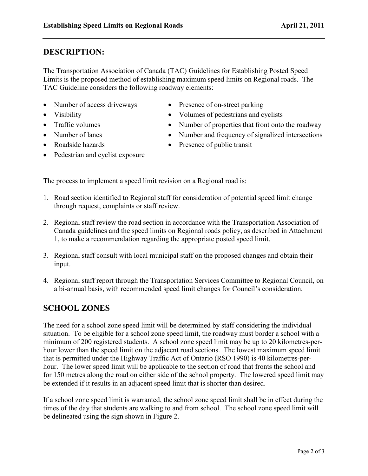# **DESCRIPTION:**

The Transportation Association of Canada (TAC) Guidelines for Establishing Posted Speed Limits is the proposed method of establishing maximum speed limits on Regional roads. The TAC Guideline considers the following roadway elements:

- Number of access driveways Presence of on-street parking
- 
- 
- 
- 
- 
- Visibility Volumes of pedestrians and cyclists
- Traffic volumes Number of properties that front onto the roadway
- Number of lanes Number and frequency of signalized intersections
- Roadside hazards Presence of public transit
- Pedestrian and cyclist exposure

The process to implement a speed limit revision on a Regional road is:

- 1. Road section identified to Regional staff for consideration of potential speed limit change through request, complaints or staff review.
- 2. Regional staff review the road section in accordance with the Transportation Association of Canada guidelines and the speed limits on Regional roads policy, as described in Attachment 1, to make a recommendation regarding the appropriate posted speed limit.
- 3. Regional staff consult with local municipal staff on the proposed changes and obtain their input.
- 4. Regional staff report through the Transportation Services Committee to Regional Council, on a bi-annual basis, with recommended speed limit changes for Council's consideration.

# **SCHOOL ZONES**

The need for a school zone speed limit will be determined by staff considering the individual situation. To be eligible for a school zone speed limit, the roadway must border a school with a minimum of 200 registered students. A school zone speed limit may be up to 20 kilometres-perhour lower than the speed limit on the adjacent road sections. The lowest maximum speed limit that is permitted under the Highway Traffic Act of Ontario (RSO 1990) is 40 kilometres-perhour. The lower speed limit will be applicable to the section of road that fronts the school and for 150 metres along the road on either side of the school property. The lowered speed limit may be extended if it results in an adjacent speed limit that is shorter than desired.

If a school zone speed limit is warranted, the school zone speed limit shall be in effect during the times of the day that students are walking to and from school. The school zone speed limit will be delineated using the sign shown in Figure 2.